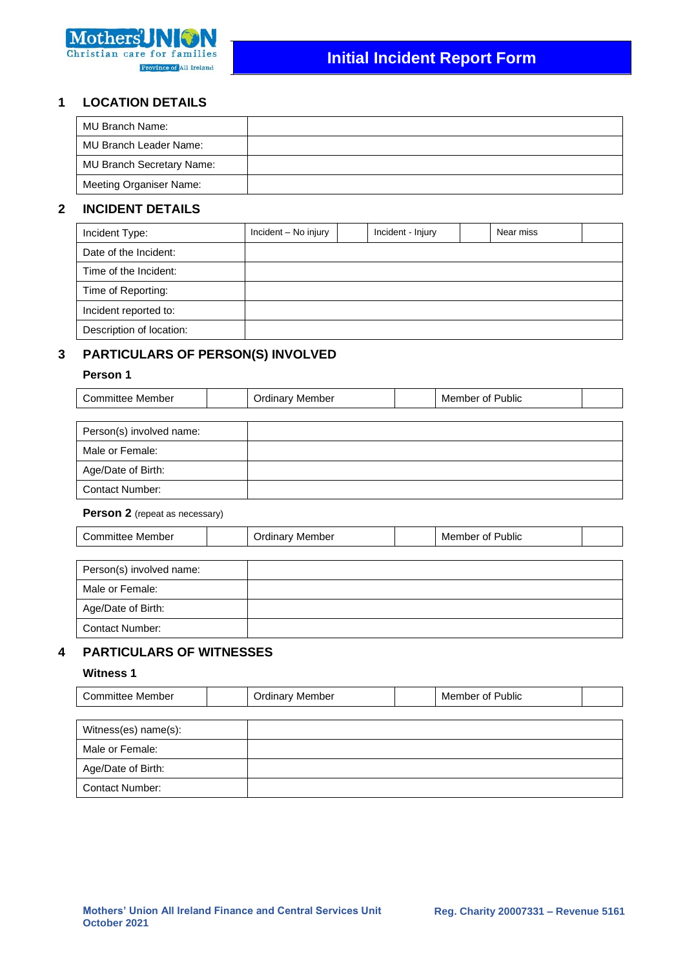

### **1 LOCATION DETAILS**

| MU Branch Name:                  |  |
|----------------------------------|--|
| MU Branch Leader Name:           |  |
| <b>MU Branch Secretary Name:</b> |  |
| <b>Meeting Organiser Name:</b>   |  |

# **2 INCIDENT DETAILS**

| Incident Type:           | Incident - No injury | Incident - Injury | Near miss |  |
|--------------------------|----------------------|-------------------|-----------|--|
| Date of the Incident:    |                      |                   |           |  |
| Time of the Incident:    |                      |                   |           |  |
| Time of Reporting:       |                      |                   |           |  |
| Incident reported to:    |                      |                   |           |  |
| Description of location: |                      |                   |           |  |

# **3 PARTICULARS OF PERSON(S) INVOLVED**

### **Person 1**

Contact Number:

| Committee Member         | <b>Ordinary Member</b> | Member of Public |  |
|--------------------------|------------------------|------------------|--|
|                          |                        |                  |  |
| Person(s) involved name: |                        |                  |  |
| Male or Female:          |                        |                  |  |
| Age/Date of Birth:       |                        |                  |  |

#### **Person 2** (repeat as necessary)

| <b>Committee Member</b>  | <b>Ordinary Member</b> | Member of Public |  |
|--------------------------|------------------------|------------------|--|
|                          |                        |                  |  |
| Person(s) involved name: |                        |                  |  |
| Male or Female:          |                        |                  |  |
| Age/Date of Birth:       |                        |                  |  |
| <b>Contact Number:</b>   |                        |                  |  |

# **4 PARTICULARS OF WITNESSES**

### **Witness 1**

| <b>Committee Member</b> | <b>Ordinary Member</b> | Member of Public |  |
|-------------------------|------------------------|------------------|--|
|                         |                        |                  |  |
| Witness(es) name(s):    |                        |                  |  |
| Male or Female:         |                        |                  |  |
| Age/Date of Birth:      |                        |                  |  |
| <b>Contact Number:</b>  |                        |                  |  |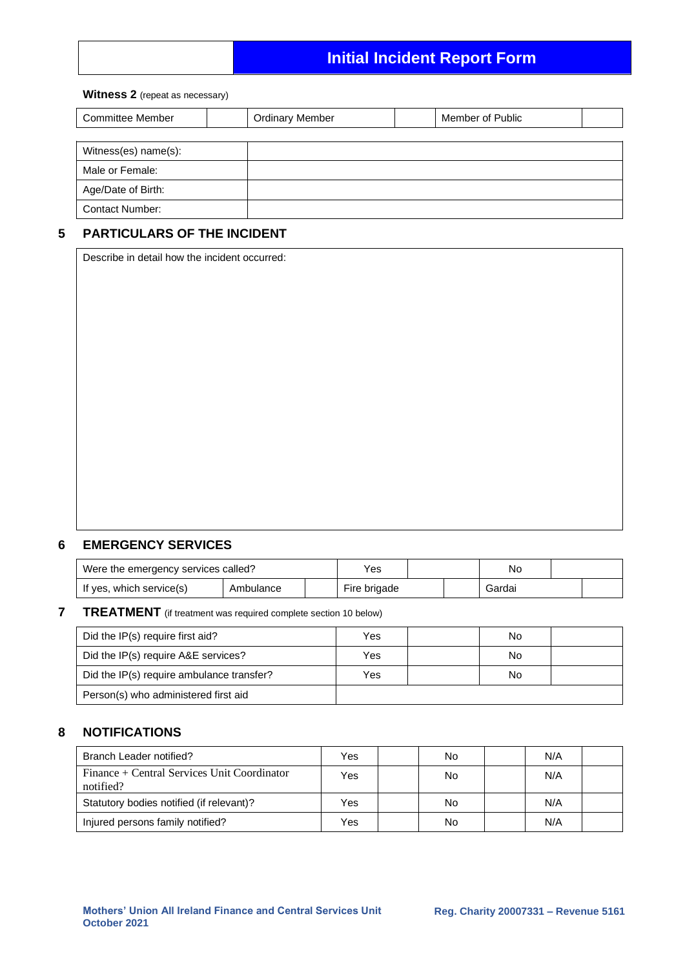# **Initial Incident Report Form**

#### **Witness 2** (repeat as necessary)

| <b>Committee Member</b> | <b>Ordinary Member</b> | Member of Public |  |
|-------------------------|------------------------|------------------|--|
|                         |                        |                  |  |
| Witness(es) name(s):    |                        |                  |  |
| Male or Female:         |                        |                  |  |
| Age/Date of Birth:      |                        |                  |  |
| <b>Contact Number:</b>  |                        |                  |  |

# **5 PARTICULARS OF THE INCIDENT**

Describe in detail how the incident occurred:

### **6 EMERGENCY SERVICES**

| Were the emergency services called? |           | Yes |              | No |        |  |
|-------------------------------------|-----------|-----|--------------|----|--------|--|
| If yes, which service(s)            | Ambulance |     | Fire brigade |    | Gardai |  |

# **7 TREATMENT** (if treatment was required complete section 10 below)

| Did the IP(s) require first aid?          | Yes | No |  |
|-------------------------------------------|-----|----|--|
| Did the IP(s) require A&E services?       | Yes | No |  |
| Did the IP(s) require ambulance transfer? | Yes | No |  |
| Person(s) who administered first aid      |     |    |  |

### **8 NOTIFICATIONS**

| Branch Leader notified?                                  | Yes | No | N/A |  |
|----------------------------------------------------------|-----|----|-----|--|
| Finance + Central Services Unit Coordinator<br>notified? | Yes | No | N/A |  |
| Statutory bodies notified (if relevant)?                 | Yes | No | N/A |  |
| Injured persons family notified?                         | Yes | No | N/A |  |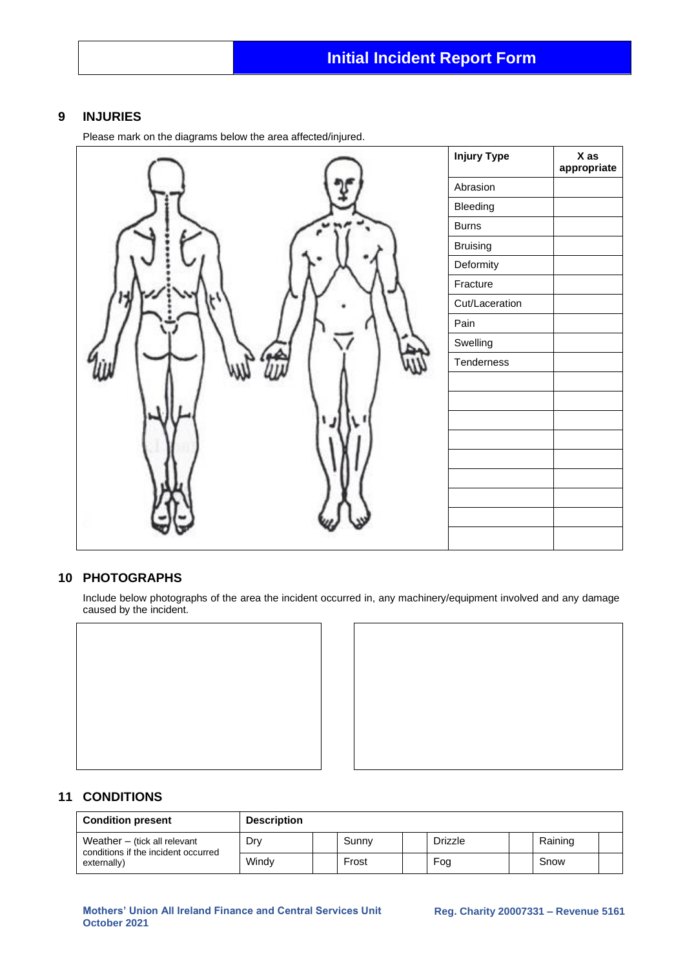### **9 INJURIES**

Please mark on the diagrams below the area affected/injured.



# **10 PHOTOGRAPHS**

Include below photographs of the area the incident occurred in, any machinery/equipment involved and any damage caused by the incident.





### **11 CONDITIONS**

| <b>Condition present</b>                                              | <b>Description</b> |       |                |         |  |
|-----------------------------------------------------------------------|--------------------|-------|----------------|---------|--|
| Weather $-$ (tick all relevant<br>conditions if the incident occurred | Dry                | Sunny | <b>Drizzle</b> | Raining |  |
| externally)                                                           | Windy              | Frost | Fog            | Snow    |  |